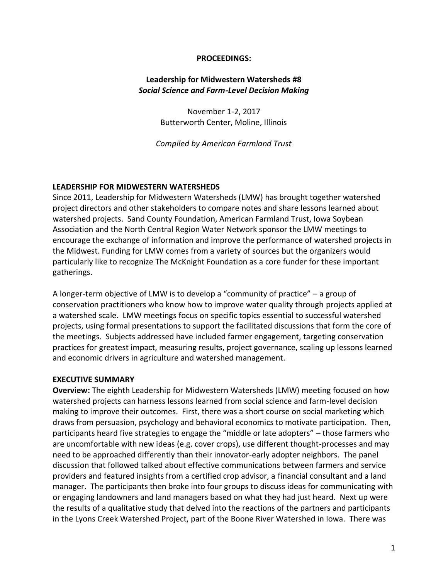#### **PROCEEDINGS:**

### **Leadership for Midwestern Watersheds #8** *Social Science and Farm-Level Decision Making*

November 1-2, 2017 Butterworth Center, Moline, Illinois

*Compiled by American Farmland Trust*

### **LEADERSHIP FOR MIDWESTERN WATERSHEDS**

Since 2011, Leadership for Midwestern Watersheds (LMW) has brought together watershed project directors and other stakeholders to compare notes and share lessons learned about watershed projects. Sand County Foundation, American Farmland Trust, Iowa Soybean Association and the North Central Region Water Network sponsor the LMW meetings to encourage the exchange of information and improve the performance of watershed projects in the Midwest. Funding for LMW comes from a variety of sources but the organizers would particularly like to recognize The McKnight Foundation as a core funder for these important gatherings.

A longer-term objective of LMW is to develop a "community of practice" – a group of conservation practitioners who know how to improve water quality through projects applied at a watershed scale. LMW meetings focus on specific topics essential to successful watershed projects, using formal presentations to support the facilitated discussions that form the core of the meetings. Subjects addressed have included farmer engagement, targeting conservation practices for greatest impact, measuring results, project governance, scaling up lessons learned and economic drivers in agriculture and watershed management.

### **EXECUTIVE SUMMARY**

**Overview:** The eighth Leadership for Midwestern Watersheds (LMW) meeting focused on how watershed projects can harness lessons learned from social science and farm-level decision making to improve their outcomes. First, there was a short course on social marketing which draws from persuasion, psychology and behavioral economics to motivate participation. Then, participants heard five strategies to engage the "middle or late adopters" – those farmers who are uncomfortable with new ideas (e.g. cover crops), use different thought-processes and may need to be approached differently than their innovator-early adopter neighbors. The panel discussion that followed talked about effective communications between farmers and service providers and featured insights from a certified crop advisor, a financial consultant and a land manager. The participants then broke into four groups to discuss ideas for communicating with or engaging landowners and land managers based on what they had just heard. Next up were the results of a qualitative study that delved into the reactions of the partners and participants in the Lyons Creek Watershed Project, part of the Boone River Watershed in Iowa. There was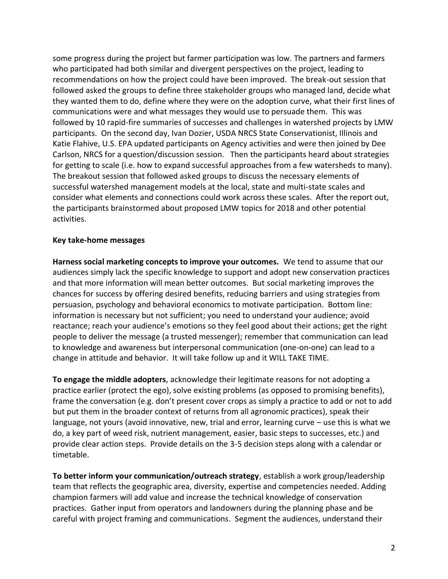some progress during the project but farmer participation was low. The partners and farmers who participated had both similar and divergent perspectives on the project, leading to recommendations on how the project could have been improved. The break-out session that followed asked the groups to define three stakeholder groups who managed land, decide what they wanted them to do, define where they were on the adoption curve, what their first lines of communications were and what messages they would use to persuade them. This was followed by 10 rapid-fire summaries of successes and challenges in watershed projects by LMW participants. On the second day, Ivan Dozier, USDA NRCS State Conservationist, Illinois and Katie Flahive, U.S. EPA updated participants on Agency activities and were then joined by Dee Carlson, NRCS for a question/discussion session. Then the participants heard about strategies for getting to scale (i.e. how to expand successful approaches from a few watersheds to many). The breakout session that followed asked groups to discuss the necessary elements of successful watershed management models at the local, state and multi-state scales and consider what elements and connections could work across these scales. After the report out, the participants brainstormed about proposed LMW topics for 2018 and other potential activities.

### **Key take-home messages**

**Harness social marketing concepts to improve your outcomes.** We tend to assume that our audiences simply lack the specific knowledge to support and adopt new conservation practices and that more information will mean better outcomes. But social marketing improves the chances for success by offering desired benefits, reducing barriers and using strategies from persuasion, psychology and behavioral economics to motivate participation. Bottom line: information is necessary but not sufficient; you need to understand your audience; avoid reactance; reach your audience's emotions so they feel good about their actions; get the right people to deliver the message (a trusted messenger); remember that communication can lead to knowledge and awareness but interpersonal communication (one-on-one) can lead to a change in attitude and behavior. It will take follow up and it WILL TAKE TIME.

**To engage the middle adopters**, acknowledge their legitimate reasons for not adopting a practice earlier (protect the ego), solve existing problems (as opposed to promising benefits), frame the conversation (e.g. don't present cover crops as simply a practice to add or not to add but put them in the broader context of returns from all agronomic practices), speak their language, not yours (avoid innovative, new, trial and error, learning curve – use this is what we do, a key part of weed risk, nutrient management, easier, basic steps to successes, etc.) and provide clear action steps. Provide details on the 3-5 decision steps along with a calendar or timetable.

**To better inform your communication/outreach strategy**, establish a work group/leadership team that reflects the geographic area, diversity, expertise and competencies needed. Adding champion farmers will add value and increase the technical knowledge of conservation practices. Gather input from operators and landowners during the planning phase and be careful with project framing and communications. Segment the audiences, understand their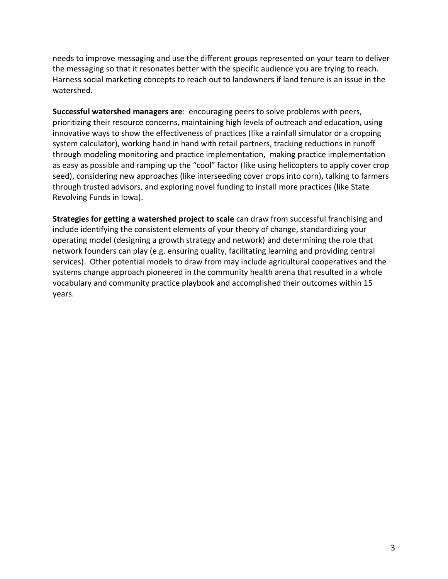needs to improve messaging and use the different groups represented on your team to deliver the messaging so that it resonates better with the specific audience you are trying to reach. Harness social marketing concepts to reach out to landowners if land tenure is an issue in the watershed.

**Successful watershed managers are**: encouraging peers to solve problems with peers, prioritizing their resource concerns, maintaining high levels of outreach and education, using innovative ways to show the effectiveness of practices (like a rainfall simulator or a cropping system calculator), working hand in hand with retail partners, tracking reductions in runoff through modeling monitoring and practice implementation, making practice implementation as easy as possible and ramping up the "cool" factor (like using helicopters to apply cover crop seed), considering new approaches (like interseeding cover crops into corn), talking to farmers through trusted advisors, and exploring novel funding to install more practices (like State Revolving Funds in Iowa).

**Strategies for getting a watershed project to scale** can draw from successful franchising and include identifying the consistent elements of your theory of change, standardizing your operating model (designing a growth strategy and network) and determining the role that network founders can play (e.g. ensuring quality, facilitating learning and providing central services). Other potential models to draw from may include agricultural cooperatives and the systems change approach pioneered in the community health arena that resulted in a whole vocabulary and community practice playbook and accomplished their outcomes within 15 years.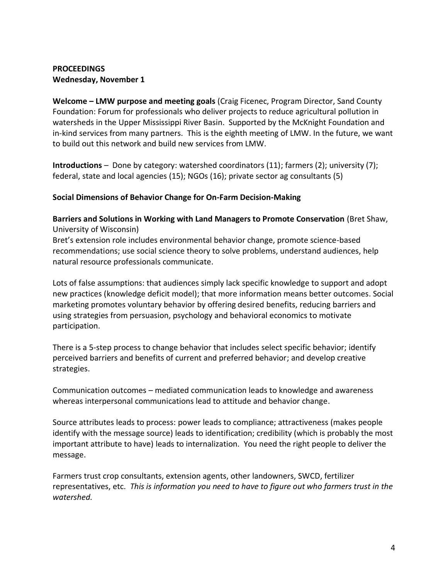### **PROCEEDINGS Wednesday, November 1**

**Welcome – LMW purpose and meeting goals** (Craig Ficenec, Program Director, Sand County Foundation: Forum for professionals who deliver projects to reduce agricultural pollution in watersheds in the Upper Mississippi River Basin. Supported by the McKnight Foundation and in-kind services from many partners. This is the eighth meeting of LMW. In the future, we want to build out this network and build new services from LMW.

**Introductions** – Done by category: watershed coordinators (11); farmers (2); university (7); federal, state and local agencies (15); NGOs (16); private sector ag consultants (5)

# **Social Dimensions of Behavior Change for On-Farm Decision-Making**

**Barriers and Solutions in Working with Land Managers to Promote Conservation** (Bret Shaw, University of Wisconsin)

Bret's extension role includes environmental behavior change, promote science-based recommendations; use social science theory to solve problems, understand audiences, help natural resource professionals communicate.

Lots of false assumptions: that audiences simply lack specific knowledge to support and adopt new practices (knowledge deficit model); that more information means better outcomes. Social marketing promotes voluntary behavior by offering desired benefits, reducing barriers and using strategies from persuasion, psychology and behavioral economics to motivate participation.

There is a 5-step process to change behavior that includes select specific behavior; identify perceived barriers and benefits of current and preferred behavior; and develop creative strategies.

Communication outcomes – mediated communication leads to knowledge and awareness whereas interpersonal communications lead to attitude and behavior change.

Source attributes leads to process: power leads to compliance; attractiveness (makes people identify with the message source) leads to identification; credibility (which is probably the most important attribute to have) leads to internalization. You need the right people to deliver the message.

Farmers trust crop consultants, extension agents, other landowners, SWCD, fertilizer representatives, etc. *This is information you need to have to figure out who farmers trust in the watershed.*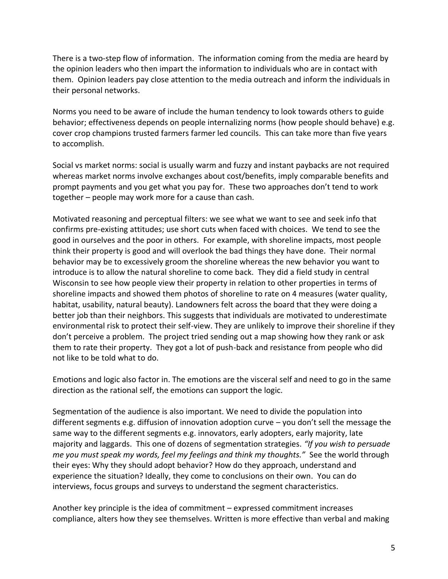There is a two-step flow of information. The information coming from the media are heard by the opinion leaders who then impart the information to individuals who are in contact with them. Opinion leaders pay close attention to the media outreach and inform the individuals in their personal networks.

Norms you need to be aware of include the human tendency to look towards others to guide behavior; effectiveness depends on people internalizing norms (how people should behave) e.g. cover crop champions trusted farmers farmer led councils. This can take more than five years to accomplish.

Social vs market norms: social is usually warm and fuzzy and instant paybacks are not required whereas market norms involve exchanges about cost/benefits, imply comparable benefits and prompt payments and you get what you pay for. These two approaches don't tend to work together – people may work more for a cause than cash.

Motivated reasoning and perceptual filters: we see what we want to see and seek info that confirms pre-existing attitudes; use short cuts when faced with choices. We tend to see the good in ourselves and the poor in others. For example, with shoreline impacts, most people think their property is good and will overlook the bad things they have done. Their normal behavior may be to excessively groom the shoreline whereas the new behavior you want to introduce is to allow the natural shoreline to come back. They did a field study in central Wisconsin to see how people view their property in relation to other properties in terms of shoreline impacts and showed them photos of shoreline to rate on 4 measures (water quality, habitat, usability, natural beauty). Landowners felt across the board that they were doing a better job than their neighbors. This suggests that individuals are motivated to underestimate environmental risk to protect their self-view. They are unlikely to improve their shoreline if they don't perceive a problem. The project tried sending out a map showing how they rank or ask them to rate their property. They got a lot of push-back and resistance from people who did not like to be told what to do.

Emotions and logic also factor in. The emotions are the visceral self and need to go in the same direction as the rational self, the emotions can support the logic.

Segmentation of the audience is also important. We need to divide the population into different segments e.g. diffusion of innovation adoption curve – you don't sell the message the same way to the different segments e.g. innovators, early adopters, early majority, late majority and laggards. This one of dozens of segmentation strategies. *"If you wish to persuade me you must speak my words, feel my feelings and think my thoughts."* See the world through their eyes: Why they should adopt behavior? How do they approach, understand and experience the situation? Ideally, they come to conclusions on their own. You can do interviews, focus groups and surveys to understand the segment characteristics.

Another key principle is the idea of commitment – expressed commitment increases compliance, alters how they see themselves. Written is more effective than verbal and making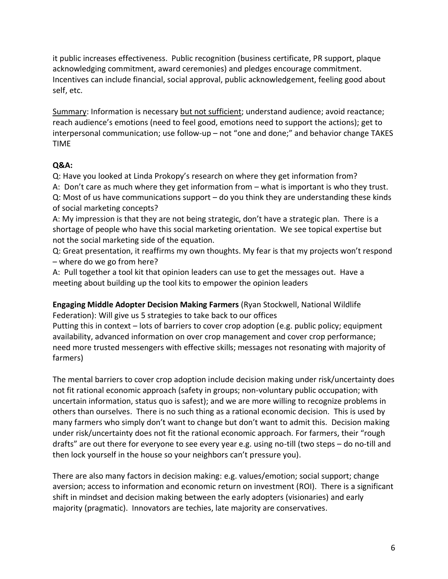it public increases effectiveness. Public recognition (business certificate, PR support, plaque acknowledging commitment, award ceremonies) and pledges encourage commitment. Incentives can include financial, social approval, public acknowledgement, feeling good about self, etc.

Summary: Information is necessary but not sufficient; understand audience; avoid reactance; reach audience's emotions (need to feel good, emotions need to support the actions); get to interpersonal communication; use follow-up – not "one and done;" and behavior change TAKES TIME

# **Q&A:**

Q: Have you looked at Linda Prokopy's research on where they get information from? A: Don't care as much where they get information from – what is important is who they trust. Q: Most of us have communications support – do you think they are understanding these kinds of social marketing concepts?

A: My impression is that they are not being strategic, don't have a strategic plan. There is a shortage of people who have this social marketing orientation. We see topical expertise but not the social marketing side of the equation.

Q: Great presentation, it reaffirms my own thoughts. My fear is that my projects won't respond – where do we go from here?

A: Pull together a tool kit that opinion leaders can use to get the messages out. Have a meeting about building up the tool kits to empower the opinion leaders

**Engaging Middle Adopter Decision Making Farmers** (Ryan Stockwell, National Wildlife Federation): Will give us 5 strategies to take back to our offices Putting this in context – lots of barriers to cover crop adoption (e.g. public policy; equipment availability, advanced information on over crop management and cover crop performance; need more trusted messengers with effective skills; messages not resonating with majority of farmers)

The mental barriers to cover crop adoption include decision making under risk/uncertainty does not fit rational economic approach (safety in groups; non-voluntary public occupation; with uncertain information, status quo is safest); and we are more willing to recognize problems in others than ourselves. There is no such thing as a rational economic decision. This is used by many farmers who simply don't want to change but don't want to admit this. Decision making under risk/uncertainty does not fit the rational economic approach. For farmers, their "rough drafts" are out there for everyone to see every year e.g. using no-till (two steps – do no-till and then lock yourself in the house so your neighbors can't pressure you).

There are also many factors in decision making: e.g. values/emotion; social support; change aversion; access to information and economic return on investment (ROI). There is a significant shift in mindset and decision making between the early adopters (visionaries) and early majority (pragmatic). Innovators are techies, late majority are conservatives.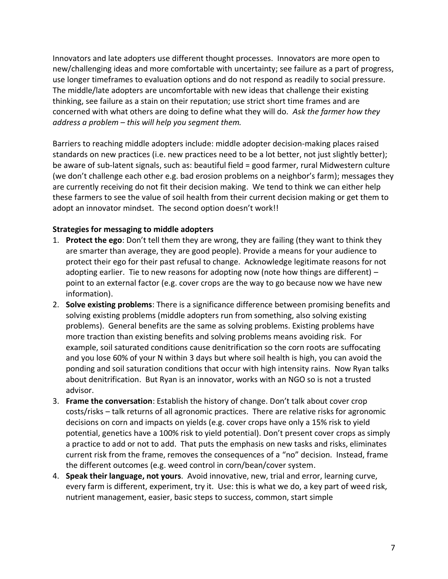Innovators and late adopters use different thought processes. Innovators are more open to new/challenging ideas and more comfortable with uncertainty; see failure as a part of progress, use longer timeframes to evaluation options and do not respond as readily to social pressure. The middle/late adopters are uncomfortable with new ideas that challenge their existing thinking, see failure as a stain on their reputation; use strict short time frames and are concerned with what others are doing to define what they will do. *Ask the farmer how they address a problem – this will help you segment them.* 

Barriers to reaching middle adopters include: middle adopter decision-making places raised standards on new practices (i.e. new practices need to be a lot better, not just slightly better); be aware of sub-latent signals, such as: beautiful field = good farmer, rural Midwestern culture (we don't challenge each other e.g. bad erosion problems on a neighbor's farm); messages they are currently receiving do not fit their decision making. We tend to think we can either help these farmers to see the value of soil health from their current decision making or get them to adopt an innovator mindset. The second option doesn't work!!

### **Strategies for messaging to middle adopters**

- 1. **Protect the ego**: Don't tell them they are wrong, they are failing (they want to think they are smarter than average, they are good people). Provide a means for your audience to protect their ego for their past refusal to change. Acknowledge legitimate reasons for not adopting earlier. Tie to new reasons for adopting now (note how things are different) – point to an external factor (e.g. cover crops are the way to go because now we have new information).
- 2. **Solve existing problems**: There is a significance difference between promising benefits and solving existing problems (middle adopters run from something, also solving existing problems). General benefits are the same as solving problems. Existing problems have more traction than existing benefits and solving problems means avoiding risk. For example, soil saturated conditions cause denitrification so the corn roots are suffocating and you lose 60% of your N within 3 days but where soil health is high, you can avoid the ponding and soil saturation conditions that occur with high intensity rains. Now Ryan talks about denitrification. But Ryan is an innovator, works with an NGO so is not a trusted advisor.
- 3. **Frame the conversation**: Establish the history of change. Don't talk about cover crop costs/risks – talk returns of all agronomic practices. There are relative risks for agronomic decisions on corn and impacts on yields (e.g. cover crops have only a 15% risk to yield potential, genetics have a 100% risk to yield potential). Don't present cover crops as simply a practice to add or not to add. That puts the emphasis on new tasks and risks, eliminates current risk from the frame, removes the consequences of a "no" decision. Instead, frame the different outcomes (e.g. weed control in corn/bean/cover system.
- 4. **Speak their language, not yours**. Avoid innovative, new, trial and error, learning curve, every farm is different, experiment, try it. Use: this is what we do, a key part of weed risk, nutrient management, easier, basic steps to success, common, start simple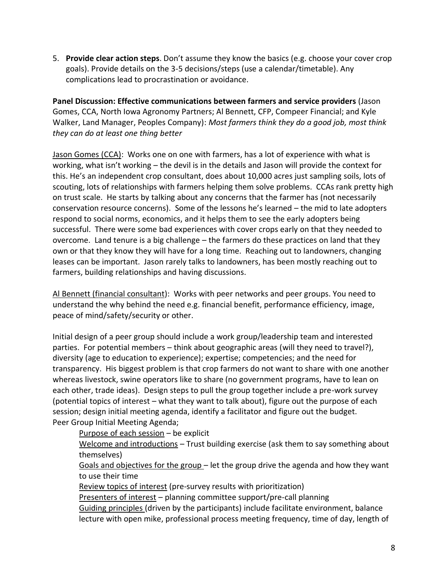5. **Provide clear action steps**. Don't assume they know the basics (e.g. choose your cover crop goals). Provide details on the 3-5 decisions/steps (use a calendar/timetable). Any complications lead to procrastination or avoidance.

**Panel Discussion: Effective communications between farmers and service providers** (Jason Gomes, CCA, North Iowa Agronomy Partners; Al Bennett, CFP, Compeer Financial; and Kyle Walker, Land Manager, Peoples Company): *Most farmers think they do a good job, most think they can do at least one thing better*

Jason Gomes (CCA): Works one on one with farmers, has a lot of experience with what is working, what isn't working – the devil is in the details and Jason will provide the context for this. He's an independent crop consultant, does about 10,000 acres just sampling soils, lots of scouting, lots of relationships with farmers helping them solve problems. CCAs rank pretty high on trust scale. He starts by talking about any concerns that the farmer has (not necessarily conservation resource concerns). Some of the lessons he's learned – the mid to late adopters respond to social norms, economics, and it helps them to see the early adopters being successful. There were some bad experiences with cover crops early on that they needed to overcome. Land tenure is a big challenge – the farmers do these practices on land that they own or that they know they will have for a long time. Reaching out to landowners, changing leases can be important. Jason rarely talks to landowners, has been mostly reaching out to farmers, building relationships and having discussions.

Al Bennett (financial consultant): Works with peer networks and peer groups. You need to understand the why behind the need e.g. financial benefit, performance efficiency, image, peace of mind/safety/security or other.

Initial design of a peer group should include a work group/leadership team and interested parties. For potential members – think about geographic areas (will they need to travel?), diversity (age to education to experience); expertise; competencies; and the need for transparency. His biggest problem is that crop farmers do not want to share with one another whereas livestock, swine operators like to share (no government programs, have to lean on each other, trade ideas). Design steps to pull the group together include a pre-work survey (potential topics of interest – what they want to talk about), figure out the purpose of each session; design initial meeting agenda, identify a facilitator and figure out the budget. Peer Group Initial Meeting Agenda;

Purpose of each session - be explicit

Welcome and introductions – Trust building exercise (ask them to say something about themselves)

Goals and objectives for the group – let the group drive the agenda and how they want to use their time

Review topics of interest (pre-survey results with prioritization)

Presenters of interest - planning committee support/pre-call planning Guiding principles (driven by the participants) include facilitate environment, balance lecture with open mike, professional process meeting frequency, time of day, length of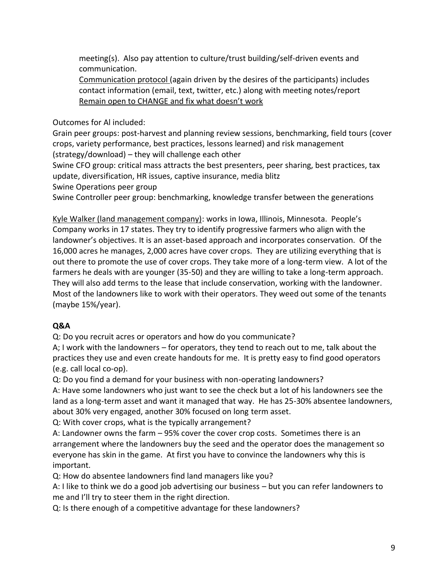meeting(s). Also pay attention to culture/trust building/self-driven events and communication.

Communication protocol (again driven by the desires of the participants) includes contact information (email, text, twitter, etc.) along with meeting notes/report Remain open to CHANGE and fix what doesn't work

Outcomes for Al included:

Grain peer groups: post-harvest and planning review sessions, benchmarking, field tours (cover crops, variety performance, best practices, lessons learned) and risk management (strategy/download) – they will challenge each other

Swine CFO group: critical mass attracts the best presenters, peer sharing, best practices, tax update, diversification, HR issues, captive insurance, media blitz

Swine Operations peer group

Swine Controller peer group: benchmarking, knowledge transfer between the generations

Kyle Walker (land management company): works in Iowa, Illinois, Minnesota. People's Company works in 17 states. They try to identify progressive farmers who align with the landowner's objectives. It is an asset-based approach and incorporates conservation. Of the 16,000 acres he manages, 2,000 acres have cover crops. They are utilizing everything that is out there to promote the use of cover crops. They take more of a long-term view. A lot of the farmers he deals with are younger (35-50) and they are willing to take a long-term approach. They will also add terms to the lease that include conservation, working with the landowner. Most of the landowners like to work with their operators. They weed out some of the tenants (maybe 15%/year).

# **Q&A**

Q: Do you recruit acres or operators and how do you communicate?

A; I work with the landowners – for operators, they tend to reach out to me, talk about the practices they use and even create handouts for me. It is pretty easy to find good operators (e.g. call local co-op).

Q: Do you find a demand for your business with non-operating landowners?

A: Have some landowners who just want to see the check but a lot of his landowners see the land as a long-term asset and want it managed that way. He has 25-30% absentee landowners, about 30% very engaged, another 30% focused on long term asset.

Q: With cover crops, what is the typically arrangement?

A: Landowner owns the farm – 95% cover the cover crop costs. Sometimes there is an arrangement where the landowners buy the seed and the operator does the management so everyone has skin in the game. At first you have to convince the landowners why this is important.

Q: How do absentee landowners find land managers like you?

A: I like to think we do a good job advertising our business – but you can refer landowners to me and I'll try to steer them in the right direction.

Q: Is there enough of a competitive advantage for these landowners?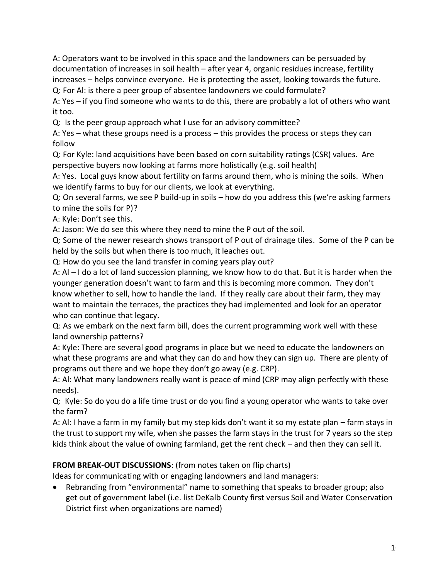A: Operators want to be involved in this space and the landowners can be persuaded by documentation of increases in soil health – after year 4, organic residues increase, fertility increases – helps convince everyone. He is protecting the asset, looking towards the future.

Q: For Al: is there a peer group of absentee landowners we could formulate?

A: Yes – if you find someone who wants to do this, there are probably a lot of others who want it too.

Q: Is the peer group approach what I use for an advisory committee?

A: Yes – what these groups need is a process – this provides the process or steps they can follow

Q: For Kyle: land acquisitions have been based on corn suitability ratings (CSR) values. Are perspective buyers now looking at farms more holistically (e.g. soil health)

A: Yes. Local guys know about fertility on farms around them, who is mining the soils. When we identify farms to buy for our clients, we look at everything.

Q: On several farms, we see P build-up in soils – how do you address this (we're asking farmers to mine the soils for P)?

A: Kyle: Don't see this.

A: Jason: We do see this where they need to mine the P out of the soil.

Q: Some of the newer research shows transport of P out of drainage tiles. Some of the P can be held by the soils but when there is too much, it leaches out.

Q: How do you see the land transfer in coming years play out?

A: Al – I do a lot of land succession planning, we know how to do that. But it is harder when the younger generation doesn't want to farm and this is becoming more common. They don't know whether to sell, how to handle the land. If they really care about their farm, they may want to maintain the terraces, the practices they had implemented and look for an operator who can continue that legacy.

Q: As we embark on the next farm bill, does the current programming work well with these land ownership patterns?

A: Kyle: There are several good programs in place but we need to educate the landowners on what these programs are and what they can do and how they can sign up. There are plenty of programs out there and we hope they don't go away (e.g. CRP).

A: Al: What many landowners really want is peace of mind (CRP may align perfectly with these needs).

Q: Kyle: So do you do a life time trust or do you find a young operator who wants to take over the farm?

A: Al: I have a farm in my family but my step kids don't want it so my estate plan – farm stays in the trust to support my wife, when she passes the farm stays in the trust for 7 years so the step kids think about the value of owning farmland, get the rent check – and then they can sell it.

# **FROM BREAK-OUT DISCUSSIONS**: (from notes taken on flip charts)

Ideas for communicating with or engaging landowners and land managers:

• Rebranding from "environmental" name to something that speaks to broader group; also get out of government label (i.e. list DeKalb County first versus Soil and Water Conservation District first when organizations are named)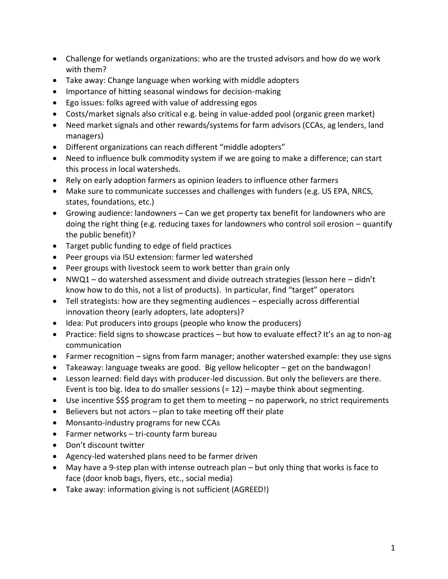- Challenge for wetlands organizations: who are the trusted advisors and how do we work with them?
- Take away: Change language when working with middle adopters
- Importance of hitting seasonal windows for decision-making
- Ego issues: folks agreed with value of addressing egos
- Costs/market signals also critical e.g. being in value-added pool (organic green market)
- Need market signals and other rewards/systems for farm advisors (CCAs, ag lenders, land managers)
- Different organizations can reach different "middle adopters"
- Need to influence bulk commodity system if we are going to make a difference; can start this process in local watersheds.
- Rely on early adoption farmers as opinion leaders to influence other farmers
- Make sure to communicate successes and challenges with funders (e.g. US EPA, NRCS, states, foundations, etc.)
- Growing audience: landowners Can we get property tax benefit for landowners who are doing the right thing (e.g. reducing taxes for landowners who control soil erosion – quantify the public benefit)?
- Target public funding to edge of field practices
- Peer groups via ISU extension: farmer led watershed
- Peer groups with livestock seem to work better than grain only
- NWQ1 do watershed assessment and divide outreach strategies (lesson here didn't know how to do this, not a list of products). In particular, find "target" operators
- Tell strategists: how are they segmenting audiences especially across differential innovation theory (early adopters, late adopters)?
- Idea: Put producers into groups (people who know the producers)
- Practice: field signs to showcase practices but how to evaluate effect? It's an ag to non-ag communication
- Farmer recognition signs from farm manager; another watershed example: they use signs
- Takeaway: language tweaks are good. Big yellow helicopter get on the bandwagon!
- Lesson learned: field days with producer-led discussion. But only the believers are there. Event is too big. Idea to do smaller sessions  $(= 12)$  – maybe think about segmenting.
- Use incentive \$\$\$ program to get them to meeting no paperwork, no strict requirements
- Believers but not actors plan to take meeting off their plate
- Monsanto-industry programs for new CCAs
- Farmer networks tri-county farm bureau
- Don't discount twitter
- Agency-led watershed plans need to be farmer driven
- May have a 9-step plan with intense outreach plan but only thing that works is face to face (door knob bags, flyers, etc., social media)
- Take away: information giving is not sufficient (AGREED!)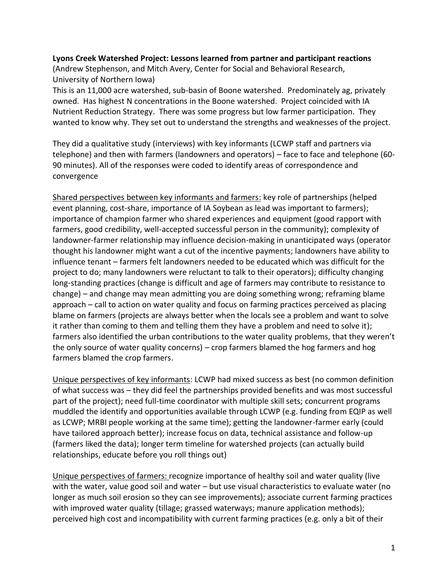### **Lyons Creek Watershed Project: Lessons learned from partner and participant reactions**

(Andrew Stephenson, and Mitch Avery, Center for Social and Behavioral Research, University of Northern Iowa)

This is an 11,000 acre watershed, sub-basin of Boone watershed. Predominately ag, privately owned. Has highest N concentrations in the Boone watershed. Project coincided with IA Nutrient Reduction Strategy. There was some progress but low farmer participation. They wanted to know why. They set out to understand the strengths and weaknesses of the project.

They did a qualitative study (interviews) with key informants (LCWP staff and partners via telephone) and then with farmers (landowners and operators) – face to face and telephone (60- 90 minutes). All of the responses were coded to identify areas of correspondence and convergence

Shared perspectives between key informants and farmers: key role of partnerships (helped event planning, cost-share, importance of IA Soybean as lead was important to farmers); importance of champion farmer who shared experiences and equipment (good rapport with farmers, good credibility, well-accepted successful person in the community); complexity of landowner-farmer relationship may influence decision-making in unanticipated ways (operator thought his landowner might want a cut of the incentive payments; landowners have ability to influence tenant – farmers felt landowners needed to be educated which was difficult for the project to do; many landowners were reluctant to talk to their operators); difficulty changing long-standing practices (change is difficult and age of farmers may contribute to resistance to change) – and change may mean admitting you are doing something wrong; reframing blame approach – call to action on water quality and focus on farming practices perceived as placing blame on farmers (projects are always better when the locals see a problem and want to solve it rather than coming to them and telling them they have a problem and need to solve it); farmers also identified the urban contributions to the water quality problems, that they weren't the only source of water quality concerns) – crop farmers blamed the hog farmers and hog farmers blamed the crop farmers.

Unique perspectives of key informants: LCWP had mixed success as best (no common definition of what success was – they did feel the partnerships provided benefits and was most successful part of the project); need full-time coordinator with multiple skill sets; concurrent programs muddled the identify and opportunities available through LCWP (e.g. funding from EQIP as well as LCWP; MRBI people working at the same time); getting the landowner-farmer early (could have tailored approach better); increase focus on data, technical assistance and follow-up (farmers liked the data); longer term timeline for watershed projects (can actually build relationships, educate before you roll things out)

Unique perspectives of farmers: recognize importance of healthy soil and water quality (live with the water, value good soil and water – but use visual characteristics to evaluate water (no longer as much soil erosion so they can see improvements); associate current farming practices with improved water quality (tillage; grassed waterways; manure application methods); perceived high cost and incompatibility with current farming practices (e.g. only a bit of their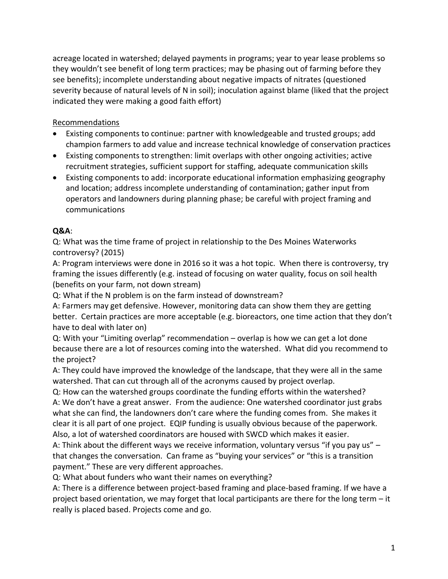acreage located in watershed; delayed payments in programs; year to year lease problems so they wouldn't see benefit of long term practices; may be phasing out of farming before they see benefits); incomplete understanding about negative impacts of nitrates (questioned severity because of natural levels of N in soil); inoculation against blame (liked that the project indicated they were making a good faith effort)

# Recommendations

- Existing components to continue: partner with knowledgeable and trusted groups; add champion farmers to add value and increase technical knowledge of conservation practices
- Existing components to strengthen: limit overlaps with other ongoing activities; active recruitment strategies, sufficient support for staffing, adequate communication skills
- Existing components to add: incorporate educational information emphasizing geography and location; address incomplete understanding of contamination; gather input from operators and landowners during planning phase; be careful with project framing and communications

# **Q&A**:

Q: What was the time frame of project in relationship to the Des Moines Waterworks controversy? (2015)

A: Program interviews were done in 2016 so it was a hot topic. When there is controversy, try framing the issues differently (e.g. instead of focusing on water quality, focus on soil health (benefits on your farm, not down stream)

Q: What if the N problem is on the farm instead of downstream?

A: Farmers may get defensive. However, monitoring data can show them they are getting better. Certain practices are more acceptable (e.g. bioreactors, one time action that they don't have to deal with later on)

Q: With your "Limiting overlap" recommendation – overlap is how we can get a lot done because there are a lot of resources coming into the watershed. What did you recommend to the project?

A: They could have improved the knowledge of the landscape, that they were all in the same watershed. That can cut through all of the acronyms caused by project overlap.

Q: How can the watershed groups coordinate the funding efforts within the watershed? A: We don't have a great answer. From the audience: One watershed coordinator just grabs what she can find, the landowners don't care where the funding comes from. She makes it clear it is all part of one project. EQIP funding is usually obvious because of the paperwork. Also, a lot of watershed coordinators are housed with SWCD which makes it easier.

A: Think about the different ways we receive information, voluntary versus "if you pay us" – that changes the conversation. Can frame as "buying your services" or "this is a transition payment." These are very different approaches.

Q: What about funders who want their names on everything?

A: There is a difference between project-based framing and place-based framing. If we have a project based orientation, we may forget that local participants are there for the long term – it really is placed based. Projects come and go.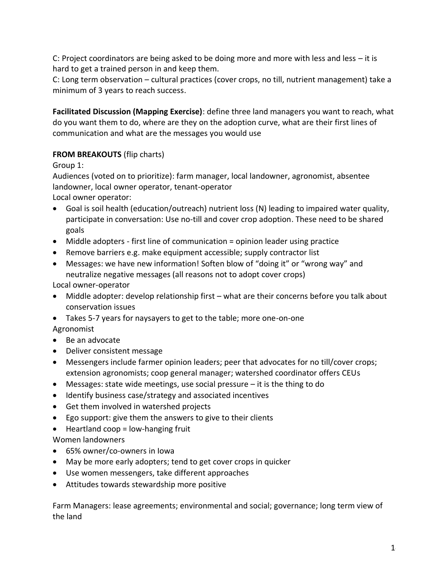C: Project coordinators are being asked to be doing more and more with less and less – it is hard to get a trained person in and keep them.

C: Long term observation – cultural practices (cover crops, no till, nutrient management) take a minimum of 3 years to reach success.

**Facilitated Discussion (Mapping Exercise)**: define three land managers you want to reach, what do you want them to do, where are they on the adoption curve, what are their first lines of communication and what are the messages you would use

# **FROM BREAKOUTS** (flip charts)

Group 1:

Audiences (voted on to prioritize): farm manager, local landowner, agronomist, absentee landowner, local owner operator, tenant-operator

Local owner operator:

- Goal is soil health (education/outreach) nutrient loss (N) leading to impaired water quality, participate in conversation: Use no-till and cover crop adoption. These need to be shared goals
- Middle adopters first line of communication = opinion leader using practice
- Remove barriers e.g. make equipment accessible; supply contractor list
- Messages: we have new information! Soften blow of "doing it" or "wrong way" and neutralize negative messages (all reasons not to adopt cover crops)

Local owner-operator

- Middle adopter: develop relationship first what are their concerns before you talk about conservation issues
- Takes 5-7 years for naysayers to get to the table; more one-on-one Agronomist
- Be an advocate
- Deliver consistent message
- Messengers include farmer opinion leaders; peer that advocates for no till/cover crops; extension agronomists; coop general manager; watershed coordinator offers CEUs
- Messages: state wide meetings, use social pressure it is the thing to do
- Identify business case/strategy and associated incentives
- Get them involved in watershed projects
- Ego support: give them the answers to give to their clients
- Heartland coop = low-hanging fruit

Women landowners

- 65% owner/co-owners in Iowa
- May be more early adopters; tend to get cover crops in quicker
- Use women messengers, take different approaches
- Attitudes towards stewardship more positive

Farm Managers: lease agreements; environmental and social; governance; long term view of the land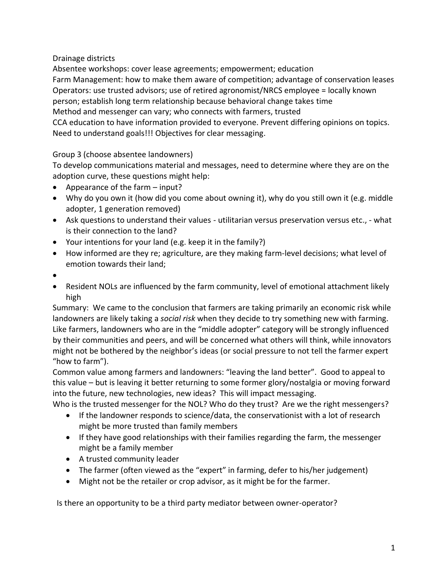Drainage districts

Absentee workshops: cover lease agreements; empowerment; education Farm Management: how to make them aware of competition; advantage of conservation leases Operators: use trusted advisors; use of retired agronomist/NRCS employee = locally known person; establish long term relationship because behavioral change takes time Method and messenger can vary; who connects with farmers, trusted CCA education to have information provided to everyone. Prevent differing opinions on topics. Need to understand goals!!! Objectives for clear messaging.

Group 3 (choose absentee landowners)

To develop communications material and messages, need to determine where they are on the adoption curve, these questions might help:

- Appearance of the farm input?
- Why do you own it (how did you come about owning it), why do you still own it (e.g. middle adopter, 1 generation removed)
- Ask questions to understand their values utilitarian versus preservation versus etc., what is their connection to the land?
- Your intentions for your land (e.g. keep it in the family?)
- How informed are they re; agriculture, are they making farm-level decisions; what level of emotion towards their land;
- •
- Resident NOLs are influenced by the farm community, level of emotional attachment likely high

Summary: We came to the conclusion that farmers are taking primarily an economic risk while landowners are likely taking a *social risk* when they decide to try something new with farming. Like farmers, landowners who are in the "middle adopter" category will be strongly influenced by their communities and peers, and will be concerned what others will think, while innovators might not be bothered by the neighbor's ideas (or social pressure to not tell the farmer expert "how to farm").

Common value among farmers and landowners: "leaving the land better". Good to appeal to this value – but is leaving it better returning to some former glory/nostalgia or moving forward into the future, new technologies, new ideas? This will impact messaging.

Who is the trusted messenger for the NOL? Who do they trust? Are we the right messengers?

- If the landowner responds to science/data, the conservationist with a lot of research might be more trusted than family members
- If they have good relationships with their families regarding the farm, the messenger might be a family member
- A trusted community leader
- The farmer (often viewed as the "expert" in farming, defer to his/her judgement)
- Might not be the retailer or crop advisor, as it might be for the farmer.

Is there an opportunity to be a third party mediator between owner-operator?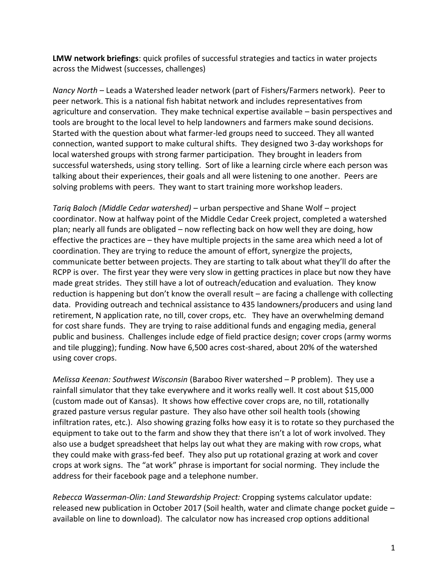**LMW network briefings**: quick profiles of successful strategies and tactics in water projects across the Midwest (successes, challenges)

*Nancy North* – Leads a Watershed leader network (part of Fishers/Farmers network). Peer to peer network. This is a national fish habitat network and includes representatives from agriculture and conservation. They make technical expertise available – basin perspectives and tools are brought to the local level to help landowners and farmers make sound decisions. Started with the question about what farmer-led groups need to succeed. They all wanted connection, wanted support to make cultural shifts. They designed two 3-day workshops for local watershed groups with strong farmer participation. They brought in leaders from successful watersheds, using story telling. Sort of like a learning circle where each person was talking about their experiences, their goals and all were listening to one another. Peers are solving problems with peers. They want to start training more workshop leaders.

*Tariq Baloch (Middle Cedar watershed)* – urban perspective and Shane Wolf – project coordinator. Now at halfway point of the Middle Cedar Creek project, completed a watershed plan; nearly all funds are obligated – now reflecting back on how well they are doing, how effective the practices are – they have multiple projects in the same area which need a lot of coordination. They are trying to reduce the amount of effort, synergize the projects, communicate better between projects. They are starting to talk about what they'll do after the RCPP is over. The first year they were very slow in getting practices in place but now they have made great strides. They still have a lot of outreach/education and evaluation. They know reduction is happening but don't know the overall result – are facing a challenge with collecting data. Providing outreach and technical assistance to 435 landowners/producers and using land retirement, N application rate, no till, cover crops, etc. They have an overwhelming demand for cost share funds. They are trying to raise additional funds and engaging media, general public and business. Challenges include edge of field practice design; cover crops (army worms and tile plugging); funding. Now have 6,500 acres cost-shared, about 20% of the watershed using cover crops.

*Melissa Keenan: Southwest Wisconsin* (Baraboo River watershed – P problem). They use a rainfall simulator that they take everywhere and it works really well. It cost about \$15,000 (custom made out of Kansas). It shows how effective cover crops are, no till, rotationally grazed pasture versus regular pasture. They also have other soil health tools (showing infiltration rates, etc.). Also showing grazing folks how easy it is to rotate so they purchased the equipment to take out to the farm and show they that there isn't a lot of work involved. They also use a budget spreadsheet that helps lay out what they are making with row crops, what they could make with grass-fed beef. They also put up rotational grazing at work and cover crops at work signs. The "at work" phrase is important for social norming. They include the address for their facebook page and a telephone number.

*Rebecca Wasserman-Olin: Land Stewardship Project:* Cropping systems calculator update: released new publication in October 2017 (Soil health, water and climate change pocket guide – available on line to download). The calculator now has increased crop options additional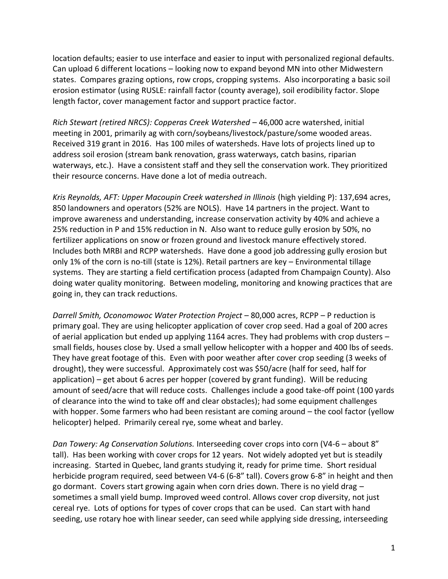location defaults; easier to use interface and easier to input with personalized regional defaults. Can upload 6 different locations – looking now to expand beyond MN into other Midwestern states. Compares grazing options, row crops, cropping systems. Also incorporating a basic soil erosion estimator (using RUSLE: rainfall factor (county average), soil erodibility factor. Slope length factor, cover management factor and support practice factor.

*Rich Stewart (retired NRCS): Copperas Creek Watershed* – 46,000 acre watershed, initial meeting in 2001, primarily ag with corn/soybeans/livestock/pasture/some wooded areas. Received 319 grant in 2016. Has 100 miles of watersheds. Have lots of projects lined up to address soil erosion (stream bank renovation, grass waterways, catch basins, riparian waterways, etc.). Have a consistent staff and they sell the conservation work. They prioritized their resource concerns. Have done a lot of media outreach.

*Kris Reynolds, AFT: Upper Macoupin Creek watershed in Illinois* (high yielding P): 137,694 acres, 850 landowners and operators (52% are NOLS). Have 14 partners in the project. Want to improve awareness and understanding, increase conservation activity by 40% and achieve a 25% reduction in P and 15% reduction in N. Also want to reduce gully erosion by 50%, no fertilizer applications on snow or frozen ground and livestock manure effectively stored. Includes both MRBI and RCPP watersheds. Have done a good job addressing gully erosion but only 1% of the corn is no-till (state is 12%). Retail partners are key – Environmental tillage systems. They are starting a field certification process (adapted from Champaign County). Also doing water quality monitoring. Between modeling, monitoring and knowing practices that are going in, they can track reductions.

*Darrell Smith, Oconomowoc Water Protection Project* – 80,000 acres, RCPP – P reduction is primary goal. They are using helicopter application of cover crop seed. Had a goal of 200 acres of aerial application but ended up applying 1164 acres. They had problems with crop dusters – small fields, houses close by. Used a small yellow helicopter with a hopper and 400 lbs of seeds. They have great footage of this. Even with poor weather after cover crop seeding (3 weeks of drought), they were successful. Approximately cost was \$50/acre (half for seed, half for application) – get about 6 acres per hopper (covered by grant funding). Will be reducing amount of seed/acre that will reduce costs. Challenges include a good take-off point (100 yards of clearance into the wind to take off and clear obstacles); had some equipment challenges with hopper. Some farmers who had been resistant are coming around – the cool factor (yellow helicopter) helped. Primarily cereal rye, some wheat and barley.

*Dan Towery: Ag Conservation Solutions.* Interseeding cover crops into corn (V4-6 – about 8" tall). Has been working with cover crops for 12 years. Not widely adopted yet but is steadily increasing. Started in Quebec, land grants studying it, ready for prime time. Short residual herbicide program required, seed between V4-6 (6-8" tall). Covers grow 6-8" in height and then go dormant. Covers start growing again when corn dries down. There is no yield drag  $$ sometimes a small yield bump. Improved weed control. Allows cover crop diversity, not just cereal rye. Lots of options for types of cover crops that can be used. Can start with hand seeding, use rotary hoe with linear seeder, can seed while applying side dressing, interseeding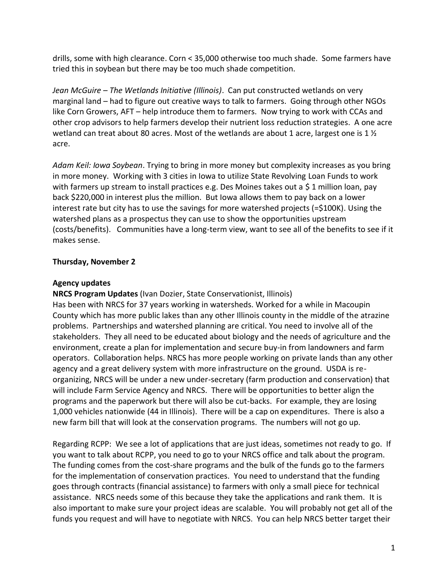drills, some with high clearance. Corn < 35,000 otherwise too much shade. Some farmers have tried this in soybean but there may be too much shade competition.

*Jean McGuire – The Wetlands Initiative (Illinois)*. Can put constructed wetlands on very marginal land – had to figure out creative ways to talk to farmers. Going through other NGOs like Corn Growers, AFT – help introduce them to farmers. Now trying to work with CCAs and other crop advisors to help farmers develop their nutrient loss reduction strategies. A one acre wetland can treat about 80 acres. Most of the wetlands are about 1 acre, largest one is 1  $\frac{1}{2}$ acre.

*Adam Keil: Iowa Soybean*. Trying to bring in more money but complexity increases as you bring in more money. Working with 3 cities in Iowa to utilize State Revolving Loan Funds to work with farmers up stream to install practices e.g. Des Moines takes out a \$1 million loan, pay back \$220,000 in interest plus the million. But Iowa allows them to pay back on a lower interest rate but city has to use the savings for more watershed projects (=\$100K). Using the watershed plans as a prospectus they can use to show the opportunities upstream (costs/benefits). Communities have a long-term view, want to see all of the benefits to see if it makes sense.

# **Thursday, November 2**

# **Agency updates**

**NRCS Program Updates** (Ivan Dozier, State Conservationist, Illinois)

Has been with NRCS for 37 years working in watersheds. Worked for a while in Macoupin County which has more public lakes than any other Illinois county in the middle of the atrazine problems. Partnerships and watershed planning are critical. You need to involve all of the stakeholders. They all need to be educated about biology and the needs of agriculture and the environment, create a plan for implementation and secure buy-in from landowners and farm operators. Collaboration helps. NRCS has more people working on private lands than any other agency and a great delivery system with more infrastructure on the ground. USDA is reorganizing, NRCS will be under a new under-secretary (farm production and conservation) that will include Farm Service Agency and NRCS. There will be opportunities to better align the programs and the paperwork but there will also be cut-backs. For example, they are losing 1,000 vehicles nationwide (44 in Illinois). There will be a cap on expenditures. There is also a new farm bill that will look at the conservation programs. The numbers will not go up.

Regarding RCPP: We see a lot of applications that are just ideas, sometimes not ready to go. If you want to talk about RCPP, you need to go to your NRCS office and talk about the program. The funding comes from the cost-share programs and the bulk of the funds go to the farmers for the implementation of conservation practices. You need to understand that the funding goes through contracts (financial assistance) to farmers with only a small piece for technical assistance. NRCS needs some of this because they take the applications and rank them. It is also important to make sure your project ideas are scalable. You will probably not get all of the funds you request and will have to negotiate with NRCS. You can help NRCS better target their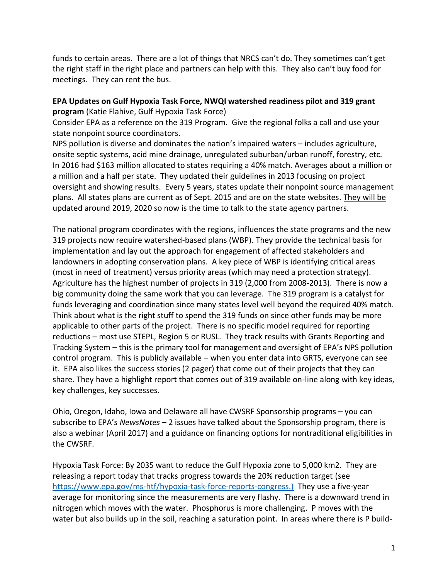funds to certain areas. There are a lot of things that NRCS can't do. They sometimes can't get the right staff in the right place and partners can help with this. They also can't buy food for meetings. They can rent the bus.

# **EPA Updates on Gulf Hypoxia Task Force, NWQI watershed readiness pilot and 319 grant program** (Katie Flahive, Gulf Hypoxia Task Force)

Consider EPA as a reference on the 319 Program. Give the regional folks a call and use your state nonpoint source coordinators.

NPS pollution is diverse and dominates the nation's impaired waters – includes agriculture, onsite septic systems, acid mine drainage, unregulated suburban/urban runoff, forestry, etc. In 2016 had \$163 million allocated to states requiring a 40% match. Averages about a million or a million and a half per state. They updated their guidelines in 2013 focusing on project oversight and showing results. Every 5 years, states update their nonpoint source management plans. All states plans are current as of Sept. 2015 and are on the state websites. They will be updated around 2019, 2020 so now is the time to talk to the state agency partners.

The national program coordinates with the regions, influences the state programs and the new 319 projects now require watershed-based plans (WBP). They provide the technical basis for implementation and lay out the approach for engagement of affected stakeholders and landowners in adopting conservation plans. A key piece of WBP is identifying critical areas (most in need of treatment) versus priority areas (which may need a protection strategy). Agriculture has the highest number of projects in 319 (2,000 from 2008-2013). There is now a big community doing the same work that you can leverage. The 319 program is a catalyst for funds leveraging and coordination since many states level well beyond the required 40% match. Think about what is the right stuff to spend the 319 funds on since other funds may be more applicable to other parts of the project. There is no specific model required for reporting reductions – most use STEPL, Region 5 or RUSL. They track results with Grants Reporting and Tracking System – this is the primary tool for management and oversight of EPA's NPS pollution control program. This is publicly available – when you enter data into GRTS, everyone can see it. EPA also likes the success stories (2 pager) that come out of their projects that they can share. They have a highlight report that comes out of 319 available on-line along with key ideas, key challenges, key successes.

Ohio, Oregon, Idaho, Iowa and Delaware all have CWSRF Sponsorship programs – you can subscribe to EPA's *NewsNotes* – 2 issues have talked about the Sponsorship program, there is also a webinar (April 2017) and a guidance on financing options for nontraditional eligibilities in the CWSRF.

Hypoxia Task Force: By 2035 want to reduce the Gulf Hypoxia zone to 5,000 km2. They are releasing a report today that tracks progress towards the 20% reduction target (see [https://www.epa.gov/ms-htf/hypoxia-task-force-reports-congress.\)](https://www.epa.gov/ms-htf/hypoxia-task-force-reports-congress.)) They use a five-year average for monitoring since the measurements are very flashy. There is a downward trend in nitrogen which moves with the water. Phosphorus is more challenging. P moves with the water but also builds up in the soil, reaching a saturation point. In areas where there is P build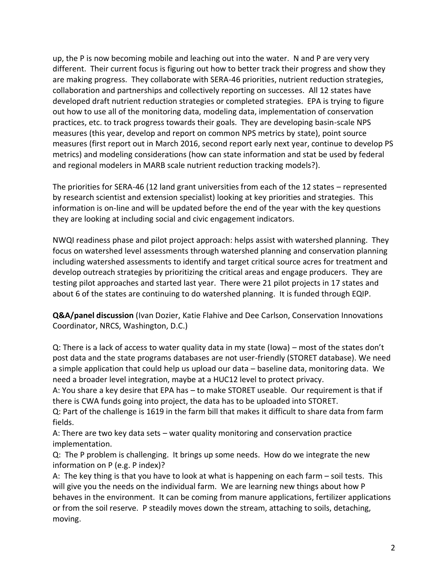up, the P is now becoming mobile and leaching out into the water. N and P are very very different. Their current focus is figuring out how to better track their progress and show they are making progress. They collaborate with SERA-46 priorities, nutrient reduction strategies, collaboration and partnerships and collectively reporting on successes. All 12 states have developed draft nutrient reduction strategies or completed strategies. EPA is trying to figure out how to use all of the monitoring data, modeling data, implementation of conservation practices, etc. to track progress towards their goals. They are developing basin-scale NPS measures (this year, develop and report on common NPS metrics by state), point source measures (first report out in March 2016, second report early next year, continue to develop PS metrics) and modeling considerations (how can state information and stat be used by federal and regional modelers in MARB scale nutrient reduction tracking models?).

The priorities for SERA-46 (12 land grant universities from each of the 12 states – represented by research scientist and extension specialist) looking at key priorities and strategies. This information is on-line and will be updated before the end of the year with the key questions they are looking at including social and civic engagement indicators.

NWQI readiness phase and pilot project approach: helps assist with watershed planning. They focus on watershed level assessments through watershed planning and conservation planning including watershed assessments to identify and target critical source acres for treatment and develop outreach strategies by prioritizing the critical areas and engage producers. They are testing pilot approaches and started last year. There were 21 pilot projects in 17 states and about 6 of the states are continuing to do watershed planning. It is funded through EQIP.

**Q&A/panel discussion** (Ivan Dozier, Katie Flahive and Dee Carlson, Conservation Innovations Coordinator, NRCS, Washington, D.C.)

Q: There is a lack of access to water quality data in my state (Iowa) – most of the states don't post data and the state programs databases are not user-friendly (STORET database). We need a simple application that could help us upload our data – baseline data, monitoring data. We need a broader level integration, maybe at a HUC12 level to protect privacy.

A: You share a key desire that EPA has – to make STORET useable. Our requirement is that if there is CWA funds going into project, the data has to be uploaded into STORET.

Q: Part of the challenge is 1619 in the farm bill that makes it difficult to share data from farm fields.

A: There are two key data sets – water quality monitoring and conservation practice implementation.

Q: The P problem is challenging. It brings up some needs. How do we integrate the new information on P (e.g. P index)?

A: The key thing is that you have to look at what is happening on each farm – soil tests. This will give you the needs on the individual farm. We are learning new things about how P behaves in the environment. It can be coming from manure applications, fertilizer applications or from the soil reserve. P steadily moves down the stream, attaching to soils, detaching, moving.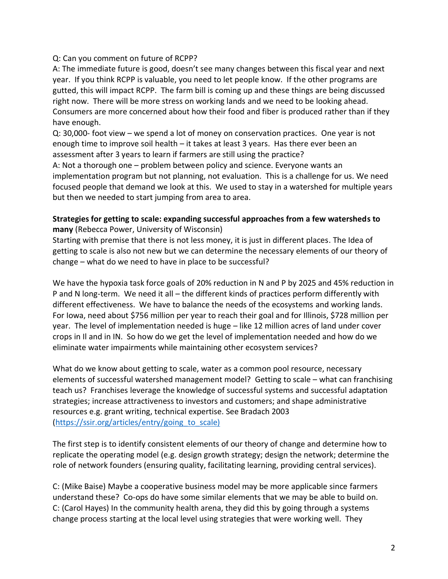### Q: Can you comment on future of RCPP?

A: The immediate future is good, doesn't see many changes between this fiscal year and next year. If you think RCPP is valuable, you need to let people know. If the other programs are gutted, this will impact RCPP. The farm bill is coming up and these things are being discussed right now. There will be more stress on working lands and we need to be looking ahead. Consumers are more concerned about how their food and fiber is produced rather than if they have enough.

Q: 30,000- foot view – we spend a lot of money on conservation practices. One year is not enough time to improve soil health – it takes at least 3 years. Has there ever been an assessment after 3 years to learn if farmers are still using the practice?

A: Not a thorough one – problem between policy and science. Everyone wants an implementation program but not planning, not evaluation. This is a challenge for us. We need focused people that demand we look at this. We used to stay in a watershed for multiple years but then we needed to start jumping from area to area.

# **Strategies for getting to scale: expanding successful approaches from a few watersheds to many** (Rebecca Power, University of Wisconsin)

Starting with premise that there is not less money, it is just in different places. The Idea of getting to scale is also not new but we can determine the necessary elements of our theory of change – what do we need to have in place to be successful?

We have the hypoxia task force goals of 20% reduction in N and P by 2025 and 45% reduction in P and N long-term. We need it all – the different kinds of practices perform differently with different effectiveness. We have to balance the needs of the ecosystems and working lands. For Iowa, need about \$756 million per year to reach their goal and for Illinois, \$728 million per year. The level of implementation needed is huge – like 12 million acres of land under cover crops in Il and in IN. So how do we get the level of implementation needed and how do we eliminate water impairments while maintaining other ecosystem services?

What do we know about getting to scale, water as a common pool resource, necessary elements of successful watershed management model? Getting to scale – what can franchising teach us? Franchises leverage the knowledge of successful systems and successful adaptation strategies; increase attractiveness to investors and customers; and shape administrative resources e.g. grant writing, technical expertise. See Bradach 2003 [\(https://ssir.org/articles/entry/going\\_to\\_scale\)](https://ssir.org/articles/entry/going_to_scale))

The first step is to identify consistent elements of our theory of change and determine how to replicate the operating model (e.g. design growth strategy; design the network; determine the role of network founders (ensuring quality, facilitating learning, providing central services).

C: (Mike Baise) Maybe a cooperative business model may be more applicable since farmers understand these? Co-ops do have some similar elements that we may be able to build on. C: (Carol Hayes) In the community health arena, they did this by going through a systems change process starting at the local level using strategies that were working well. They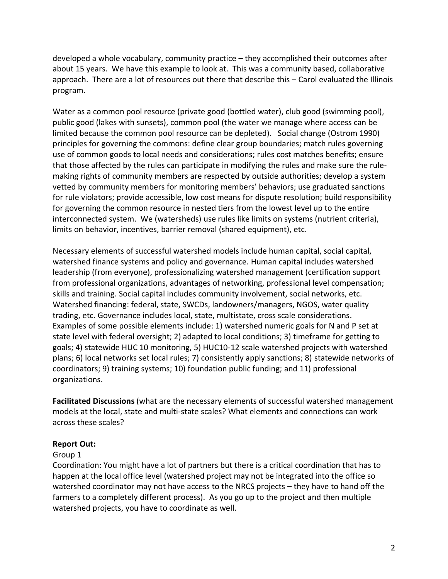developed a whole vocabulary, community practice – they accomplished their outcomes after about 15 years. We have this example to look at. This was a community based, collaborative approach. There are a lot of resources out there that describe this – Carol evaluated the Illinois program.

Water as a common pool resource (private good (bottled water), club good (swimming pool), public good (lakes with sunsets), common pool (the water we manage where access can be limited because the common pool resource can be depleted). Social change (Ostrom 1990) principles for governing the commons: define clear group boundaries; match rules governing use of common goods to local needs and considerations; rules cost matches benefits; ensure that those affected by the rules can participate in modifying the rules and make sure the rulemaking rights of community members are respected by outside authorities; develop a system vetted by community members for monitoring members' behaviors; use graduated sanctions for rule violators; provide accessible, low cost means for dispute resolution; build responsibility for governing the common resource in nested tiers from the lowest level up to the entire interconnected system. We (watersheds) use rules like limits on systems (nutrient criteria), limits on behavior, incentives, barrier removal (shared equipment), etc.

Necessary elements of successful watershed models include human capital, social capital, watershed finance systems and policy and governance. Human capital includes watershed leadership (from everyone), professionalizing watershed management (certification support from professional organizations, advantages of networking, professional level compensation; skills and training. Social capital includes community involvement, social networks, etc. Watershed financing: federal, state, SWCDs, landowners/managers, NGOS, water quality trading, etc. Governance includes local, state, multistate, cross scale considerations. Examples of some possible elements include: 1) watershed numeric goals for N and P set at state level with federal oversight; 2) adapted to local conditions; 3) timeframe for getting to goals; 4) statewide HUC 10 monitoring, 5) HUC10-12 scale watershed projects with watershed plans; 6) local networks set local rules; 7) consistently apply sanctions; 8) statewide networks of coordinators; 9) training systems; 10) foundation public funding; and 11) professional organizations.

**Facilitated Discussions** (what are the necessary elements of successful watershed management models at the local, state and multi-state scales? What elements and connections can work across these scales?

### **Report Out:**

### Group 1

Coordination: You might have a lot of partners but there is a critical coordination that has to happen at the local office level (watershed project may not be integrated into the office so watershed coordinator may not have access to the NRCS projects – they have to hand off the farmers to a completely different process). As you go up to the project and then multiple watershed projects, you have to coordinate as well.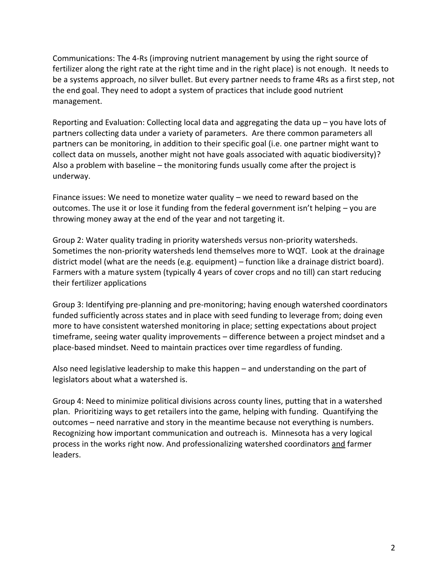Communications: The 4-Rs (improving nutrient management by using the right source of fertilizer along the right rate at the right time and in the right place) is not enough. It needs to be a systems approach, no silver bullet. But every partner needs to frame 4Rs as a first step, not the end goal. They need to adopt a system of practices that include good nutrient management.

Reporting and Evaluation: Collecting local data and aggregating the data up – you have lots of partners collecting data under a variety of parameters. Are there common parameters all partners can be monitoring, in addition to their specific goal (i.e. one partner might want to collect data on mussels, another might not have goals associated with aquatic biodiversity)? Also a problem with baseline – the monitoring funds usually come after the project is underway.

Finance issues: We need to monetize water quality – we need to reward based on the outcomes. The use it or lose it funding from the federal government isn't helping – you are throwing money away at the end of the year and not targeting it.

Group 2: Water quality trading in priority watersheds versus non-priority watersheds. Sometimes the non-priority watersheds lend themselves more to WQT. Look at the drainage district model (what are the needs (e.g. equipment) – function like a drainage district board). Farmers with a mature system (typically 4 years of cover crops and no till) can start reducing their fertilizer applications

Group 3: Identifying pre-planning and pre-monitoring; having enough watershed coordinators funded sufficiently across states and in place with seed funding to leverage from; doing even more to have consistent watershed monitoring in place; setting expectations about project timeframe, seeing water quality improvements – difference between a project mindset and a place-based mindset. Need to maintain practices over time regardless of funding.

Also need legislative leadership to make this happen – and understanding on the part of legislators about what a watershed is.

Group 4: Need to minimize political divisions across county lines, putting that in a watershed plan. Prioritizing ways to get retailers into the game, helping with funding. Quantifying the outcomes – need narrative and story in the meantime because not everything is numbers. Recognizing how important communication and outreach is. Minnesota has a very logical process in the works right now. And professionalizing watershed coordinators and farmer leaders.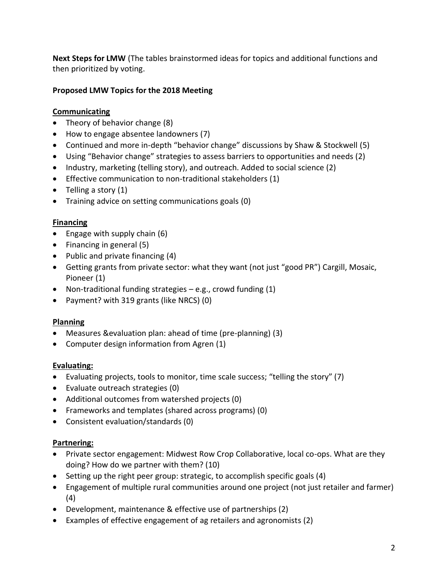**Next Steps for LMW** (The tables brainstormed ideas for topics and additional functions and then prioritized by voting.

# **Proposed LMW Topics for the 2018 Meeting**

# **Communicating**

- Theory of behavior change (8)
- How to engage absentee landowners (7)
- Continued and more in-depth "behavior change" discussions by Shaw & Stockwell (5)
- Using "Behavior change" strategies to assess barriers to opportunities and needs (2)
- Industry, marketing (telling story), and outreach. Added to social science (2)
- Effective communication to non-traditional stakeholders (1)
- Telling a story (1)
- Training advice on setting communications goals (0)

# **Financing**

- Engage with supply chain (6)
- Financing in general (5)
- Public and private financing (4)
- Getting grants from private sector: what they want (not just "good PR") Cargill, Mosaic, Pioneer (1)
- Non-traditional funding strategies e.g., crowd funding (1)
- Payment? with 319 grants (like NRCS) (0)

# **Planning**

- Measures &evaluation plan: ahead of time (pre-planning) (3)
- Computer design information from Agren (1)

# **Evaluating:**

- Evaluating projects, tools to monitor, time scale success; "telling the story" (7)
- Evaluate outreach strategies (0)
- Additional outcomes from watershed projects (0)
- Frameworks and templates (shared across programs) (0)
- Consistent evaluation/standards (0)

# **Partnering:**

- Private sector engagement: Midwest Row Crop Collaborative, local co-ops. What are they doing? How do we partner with them? (10)
- Setting up the right peer group: strategic, to accomplish specific goals (4)
- Engagement of multiple rural communities around one project (not just retailer and farmer) (4)
- Development, maintenance & effective use of partnerships (2)
- Examples of effective engagement of ag retailers and agronomists (2)